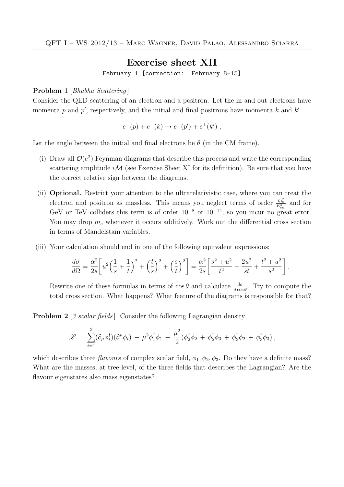## Exercise sheet XII

February 1 [correction: February 8-15]

## Problem 1 [Bhabha Scattering]

Consider the QED scattering of an electron and a positron. Let the in and out electrons have momenta p and p', respectively, and the initial and final positrons have momenta k and  $k'$ .

$$
e^-(p) + e^+(k) \rightarrow e^-(p') + e^+(k')
$$
,

Let the angle between the initial and final electrons be  $\theta$  (in the CM frame).

- (i) Draw all  $\mathcal{O}(e^2)$  Feynman diagrams that describe this process and write the corresponding scattering amplitude  $i\mathcal{M}$  (see Exercise Sheet XI for its definition). Be sure that you have the correct relative sign between the diagrams.
- (ii) Optional. Restrict your attention to the ultrarelativistic case, where you can treat the electron and positron as massless. This means you neglect terms of order  $\frac{m_e^2}{E_{cm}^2}$  and for GeV or TeV colliders this term is of order  $10^{-8}$  or  $10^{-14}$ , so you incur no great error. You may drop  $m_e$  whenever it occurs additively. Work out the differential cross section in terms of Mandelstam variables.
- (iii) Your calculation should end in one of the following equivalent expressions:

$$
\frac{d\sigma}{d\Omega} = \frac{\alpha^2}{2s} \left[ u^2 \left( \frac{1}{s} + \frac{1}{t} \right)^2 + \left( \frac{t}{s} \right)^2 + \left( \frac{s}{t} \right)^2 \right] = \frac{\alpha^2}{2s} \left[ \frac{s^2 + u^2}{t^2} + \frac{2u^2}{st} + \frac{t^2 + u^2}{s^2} \right].
$$

Rewrite one of these formulas in terms of  $\cos \theta$  and calculate  $\frac{d\sigma}{d\cos \theta}$ . Try to compute the total cross section. What happens? What feature of the diagrams is responsible for that?

**Problem 2** [3 scalar fields] Consider the following Lagrangian density

$$
\mathscr{L} \,=\, \sum_{i=1}^3 (\partial_\mu \phi_i^\dagger) (\partial^\mu \phi_i) \,-\, \mu^2 \phi_1^\dagger \phi_1 \,-\, \frac{\mu^2}{2} (\phi_2^\dagger \phi_2 \,+\, \phi_2^\dagger \phi_3 \,+\, \phi_3^\dagger \phi_2 \,+\, \phi_3^\dagger \phi_3) \,,
$$

which describes three flavours of complex scalar field,  $\phi_1, \phi_2, \phi_3$ . Do they have a definite mass? What are the masses, at tree-level, of the three fields that describes the Lagrangian? Are the flavour eigenstates also mass eigenstates?